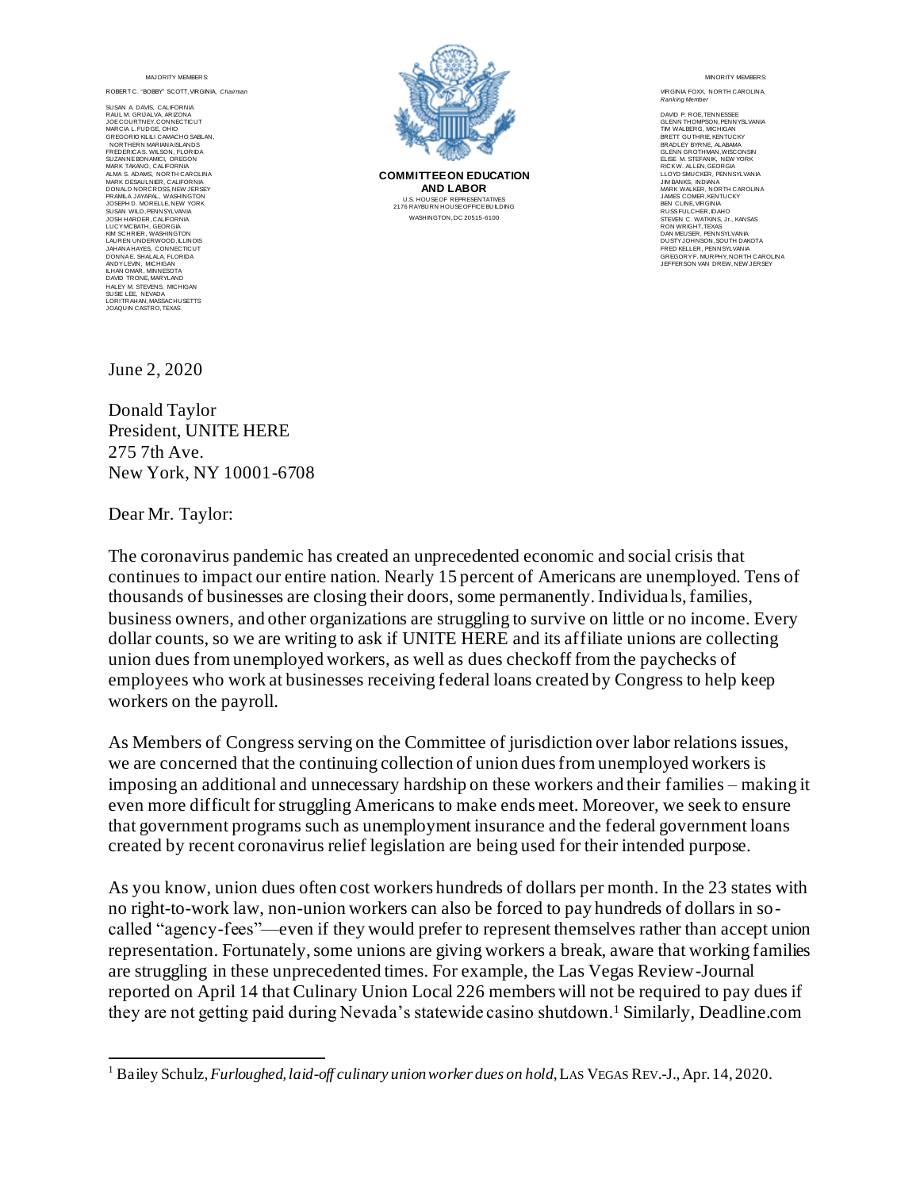ROBERT C. "BOBBY" SCOTT, VIRGINIA, Chair

SUSAN A. DAVIS, CALIFORNIA RAUL M. GRIJALVA, ARIZONA JOE COURTNEY, CONNECTICUT MARCIA L. FUDGE, OHIO GREGORIO KILILI CAMACHO SABLAN, NORTHERN MARIANA ISLANDS FREDERICA S. WILSON, FLORIDA SUZANNE BONAMICI, OREGON MARK TAKANO, CALIFORNIA ALMA S. ADAMS, NORTH CAROLINA MARK DESAULNIER, CALIFORNIA DONALD NORCROSS, NEW JERSEY PRAMILA JAYAPAL, WASHINGTON JOSEPH D. MORELLE, NEW YORK SUSAN WILD, PENNSYLVANIA JOSH HARDER, CALIFORNIA LUCY MCBATH, GEORGIA KIM SCHRIER, WASHINGTON LAUREN UNDERWOOD, ILLINOIS<br>JAHANA HAYES, CONNECTCUT<br>DONNAE. SHALALA, FLORIDA<br>ANDYLEVIN, MICHIGAN<br>LHAN OMAR, MINNESOTA<br>LHAN OMAR, MINNESOTA<br>SUSIE LEE, NEVADA<br>JOSIE LEE, NEVADA<br>LORITRAHAN, MASSACHUSETTS<br>LORITRAHAN, MASSACHUS



**COMMITTEE ON EDUCATION AND LABOR** U.S. HOUSE OF REPRESENTATIVES 2176 RAYBURN HOUSE OFFICE BUILDING WASHINGTON, DC 20515-6100

#### MINORITY MEMBERS:

VIRGINIA FOXX, NORTH CAROLINA, *Ranking Member*

DAVID P. ROE, TENNESSEE GLENN THOMPSON, PENNYSLVANIA TIM WALBERG, MICHIGAN BRETT GUTHRIE, KENTUCKY BRADLEY BYRNE, ALABAMA GLENN GROTHMAN, WISCONSIN ELISE M. STEFANIK, NEW YORK RICK W. ALLEN, GEORGIA LLOYD SMUCKER, PENNSYLVANIA JIM BANKS, INDIANA MARK WALKER, NORTH CAROLINA JAMES COMER, KENTUCKY BEN CLINE, VIRGINIA RUSS FULCHER, IDAHO STEVEN C. WATKINS, Jr., KANSAS RON WRIGHT, TEXAS DAN MEUSER, PENNSYLVANIA<br>DUSTY JOHNSON, SOUTH DAKOTA<br>FRED KELLER, PENNSYLVANIA<br>GREGORY F. MURPHY, NORTH CAROLINA<br>JEFFERSON VAN DREW, NEW JERSEY

June 2, 2020

Donald Taylor President, UNITE HERE 275 7th Ave. New York, NY 10001-6708

Dear Mr. Taylor:

The coronavirus pandemic has created an unprecedented economic and social crisis that continues to impact our entire nation. Nearly 15 percent of Americans are unemployed. Tens of thousands of businesses are closing their doors, some permanently. Individuals, families, business owners, and other organizations are struggling to survive on little or no income. Every dollar counts, so we are writing to ask if UNITE HERE and its affiliate unions are collecting union dues from unemployed workers, as well as dues checkoff from the paychecks of employees who work at businesses receiving federal loans created by Congress to help keep workers on the payroll.

As Members of Congress serving on the Committee of jurisdiction over labor relations issues, we are concerned that the continuing collection of union dues from unemployed workers is imposing an additional and unnecessary hardship on these workers and their families – making it even more difficult for struggling Americans to make ends meet. Moreover, we seek to ensure that government programs such as unemployment insurance and the federal government loans created by recent coronavirus relief legislation are being used for their intended purpose.

<sup>&</sup>lt;sup>1</sup> Bailey Schulz, *Furloughed, laid-off culinary union worker dues on hold*, LAS VEGAS REV.-J., Apr. 14, 2020.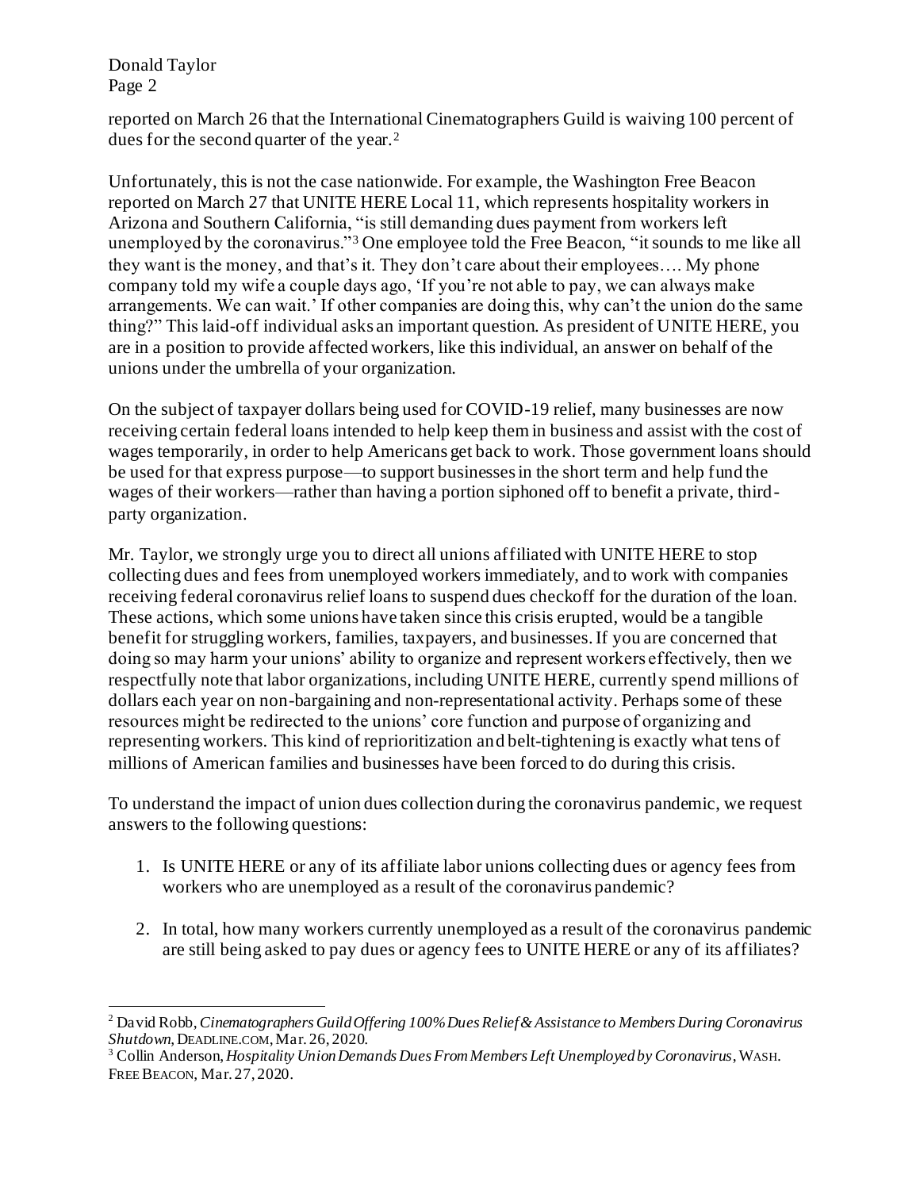Donald Taylor Page 2

reported on March 26 that the International Cinematographers Guild is waiving 100 percent of dues for the second quarter of the year.<sup>2</sup>

Unfortunately, this is not the case nationwide. For example, the Washington Free Beacon reported on March 27 that UNITE HERE Local 11, which represents hospitality workers in Arizona and Southern California, "is still demanding dues payment from workers left unemployed by the coronavirus."<sup>3</sup> One employee told the Free Beacon, "it sounds to me like all they want is the money, and that's it. They don't care about their employees…. My phone company told my wife a couple days ago, 'If you're not able to pay, we can always make arrangements. We can wait.' If other companies are doing this, why can't the union do the same thing?" This laid-off individual asks an important question. As president of UNITE HERE, you are in a position to provide affected workers, like this individual, an answer on behalf of the unions under the umbrella of your organization.

On the subject of taxpayer dollars being used for COVID-19 relief, many businesses are now receiving certain federal loans intended to help keep them in business and assist with the cost of wages temporarily, in order to help Americans get back to work. Those government loans should be used for that express purpose—to support businesses in the short term and help fund the wages of their workers—rather than having a portion siphoned off to benefit a private, thirdparty organization.

Mr. Taylor, we strongly urge you to direct all unions affiliated with UNITE HERE to stop collecting dues and fees from unemployed workers immediately, and to work with companies receiving federal coronavirus relief loans to suspend dues checkoff for the duration of the loan. These actions, which some unions have taken since this crisis erupted, would be a tangible benefit for struggling workers, families, taxpayers, and businesses. If you are concerned that doing so may harm your unions' ability to organize and represent workers effectively, then we respectfully note that labor organizations, including UNITE HERE, currently spend millions of dollars each year on non-bargaining and non-representational activity. Perhaps some of these resources might be redirected to the unions' core function and purpose of organizing and representing workers. This kind of reprioritization and belt-tightening is exactly what tens of millions of American families and businesses have been forced to do during this crisis.

- 1. Is UNITE HERE or any of its affiliate labor unions collecting dues or agency fees from workers who are unemployed as a result of the coronavirus pandemic?
- 2. In total, how many workers currently unemployed as a result of the coronavirus pandemic are still being asked to pay dues or agency fees to UNITE HERE or any of its affiliates?

<sup>2</sup> David Robb, *Cinematographers Guild Offering 100% Dues Relief & Assistance to Members During Coronavirus Shutdown*, DEADLINE.COM,Mar. 26, 2020.

<sup>3</sup> Collin Anderson, *Hospitality Union Demands Dues From Members Left Unemployed by Coronavirus*, WASH. FREE BEACON, Mar. 27, 2020.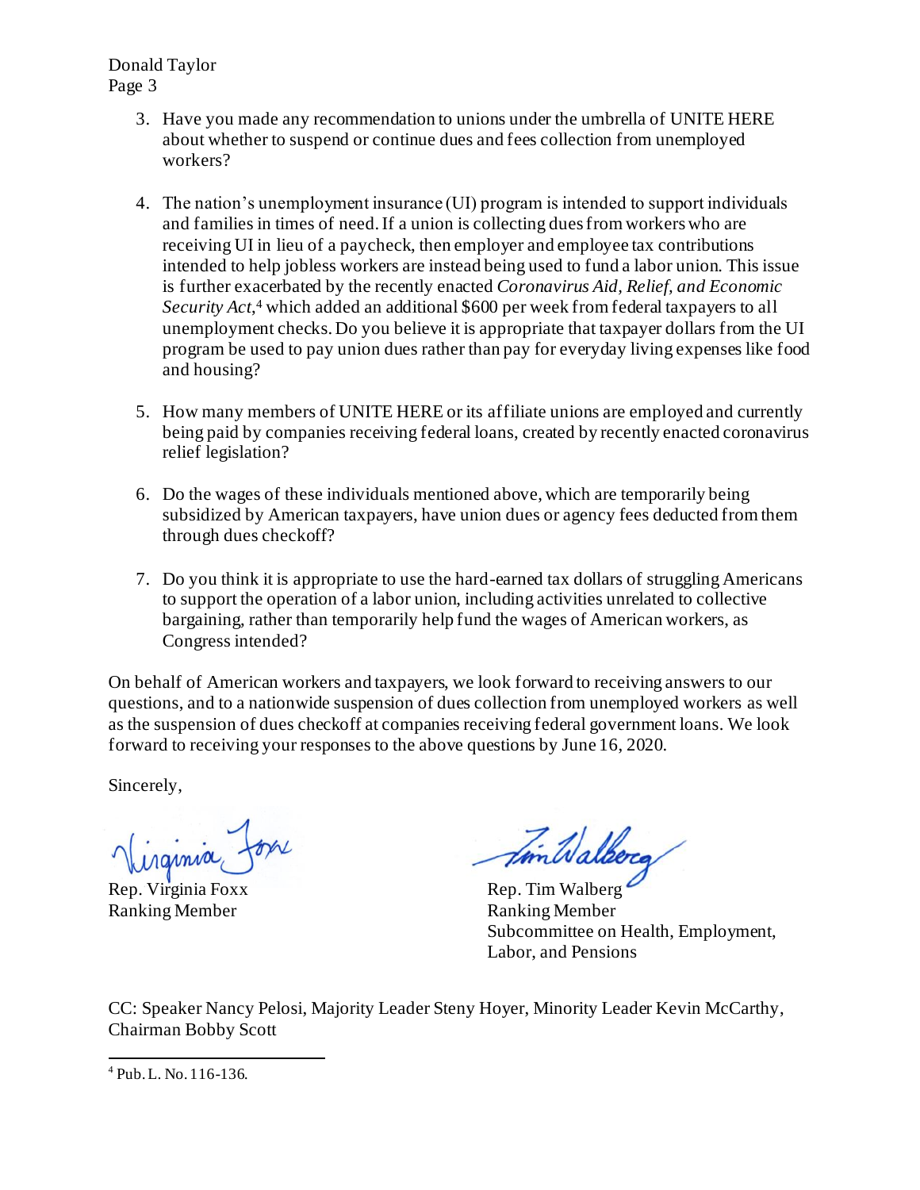Donald Taylor Page 3

- 3. Have you made any recommendation to unions under the umbrella of UNITE HERE about whether to suspend or continue dues and fees collection from unemployed workers?
- 4. The nation's unemployment insurance (UI) program is intended to support individuals and families in times of need. If a union is collecting dues from workers who are receiving UI in lieu of a paycheck, then employer and employee tax contributions intended to help jobless workers are instead being used to fund a labor union. This issue is further exacerbated by the recently enacted *Coronavirus Aid, Relief, and Economic Security Act*, <sup>4</sup> which added an additional \$600 per week from federal taxpayers to all unemployment checks. Do you believe it is appropriate that taxpayer dollars from the UI program be used to pay union dues rather than pay for everyday living expenses like food and housing?
- 5. How many members of UNITE HERE or its affiliate unions are employed and currently being paid by companies receiving federal loans, created by recently enacted coronavirus relief legislation?
- 6. Do the wages of these individuals mentioned above, which are temporarily being subsidized by American taxpayers, have union dues or agency fees deducted from them through dues checkoff?
- 7. Do you think it is appropriate to use the hard-earned tax dollars of struggling Americans to support the operation of a labor union, including activities unrelated to collective bargaining, rather than temporarily help fund the wages of American workers, as Congress intended?

On behalf of American workers and taxpayers, we look forward to receiving answers to our questions, and to a nationwide suspension of dues collection from unemployed workers as well as the suspension of dues checkoff at companies receiving federal government loans. We look forward to receiving your responses to the above questions by June 16, 2020.

Sincerely,

.<br>rajmia

Ranking Member Ranking Member

Virginia Foxx Amillalberg

Subcommittee on Health, Employment, Labor, and Pensions

<sup>4</sup> Pub. L. No. 116-136.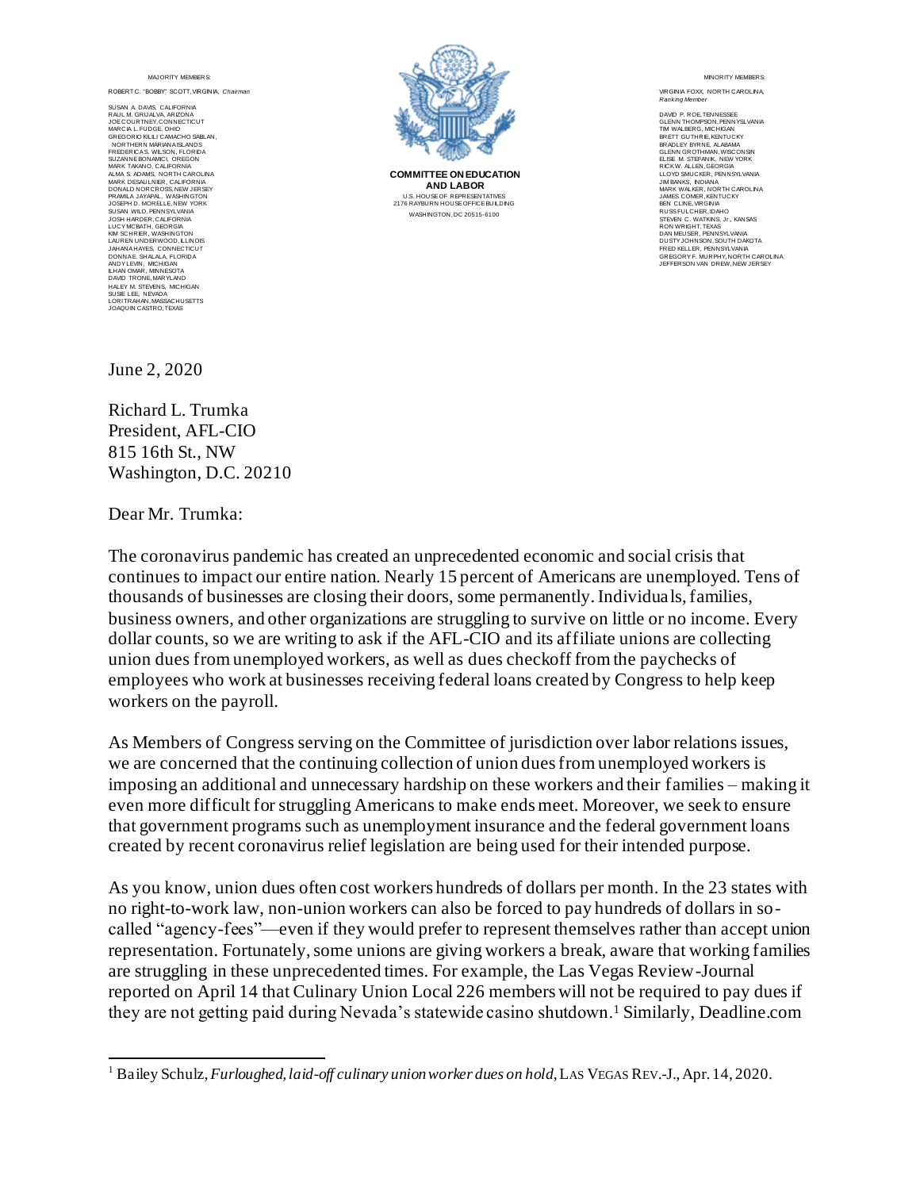ROBERT C. "BOBBY" SCOTT, VIRGINIA, *Chairman*

SUSAN A. DAVIS, CALIFORNIA RAUL M. GRIJALVA, ARIZONA JOE COURTNEY, CONNECTICUT MARCIA L. FUDGE, OHIO GREGORIO KILILI CAMACHO SABLAN, NORTHERN MARIANA ISLANDS FREDERICA S. WILSON, FLORIDA SUZANNE BONAMICI, OREGON MARK TAKANO, CALIFORNIA ALMA S. ADAMS, NORTH CAROLINA MARK DESAULNIER, CALIFORNIA DONALD NORCROSS, NEW JERSEY PRAMILA JAYAPAL, WASHINGTON JOSEPH D. MORELLE, NEW YORK SUSAN WILD, PENNSYLVANIA<br>JOSH HARDER, CALIFORNIA<br>LUCY MCBATH, GEORGIA<br>KIM SCHRIER, WASHINGTON<br>LAUREN UNDERWOOD, ILLINOIS JAHANA HAYES, CONNECTICUT DONNA E. SHALALA, FLORIDA ANDY LEVIN, MICHIGAN ILHAN OMAR, MINNESOTA DAVID TRONE, MARYLAND HALEY M. STEVENS, MICHIGAN SUSIE LEE, NEVADA LORI TRAHAN, MASSACHUSETTS JOAQUIN CASTRO, TEXAS



**COMMITTEE ON EDUCATION AND LABOR** U.S. HOUSE OF REPRESENTATIVES 2176 RAYBURN HOUSE OFFICE BUILDING WASHINGTON, DC 20515-6100

MINOR ITY MEMBERS:

VIRGINIA FOXX, NORTH CAROLINA, **Ranking Member** 

DAVID P. ROE, TENNESSEE GLENN THOMPSON, PENNYSLVANIA TIM WALBERG, MICHIGAN BRETT GUTHRIE, KENTUCKY BRADLEY BYRNE, ALABAMA GLENN GROTHMAN, WISCONSIN ELISE M. STEFANIK, NEW YORK RICK W. ALLEN, GEORGIA LLOYD SMUCKER, PENNSYLVANIA JIM BANKS, INDIANA MARK WALKER, NORTH CAROLINA JAMES COMER, KENTUCKY BEN CLINE, VIRGINIA RUSS FULCHER, IDAHO STEVEN C. WATKINS, Jr., KANSAS RON WRIGHT, TEXAS DAN MEUSER, PENNSYLVANIA DUSTY JOHNSON, SOUTH DAKOTA<br>FRED KELLER, PENNSYLVANIA<br>GREGORY F. MURPHY, NORTH CAROLINA<br>JEFFERSON VAN DREW, NEW JERSEY

June 2, 2020

Richard L. Trumka President, AFL-CIO 815 16th St., NW Washington, D.C. 20210

Dear Mr. Trumka:

The coronavirus pandemic has created an unprecedented economic and social crisis that continues to impact our entire nation. Nearly 15 percent of Americans are unemployed. Tens of thousands of businesses are closing their doors, some permanently. Individuals, families, business owners, and other organizations are struggling to survive on little or no income. Every dollar counts, so we are writing to ask if the AFL-CIO and its affiliate unions are collecting union dues from unemployed workers, as well as dues checkoff from the paychecks of employees who work at businesses receiving federal loans created by Congress to help keep workers on the payroll.

As Members of Congress serving on the Committee of jurisdiction over labor relations issues, we are concerned that the continuing collection of union dues from unemployed workers is imposing an additional and unnecessary hardship on these workers and their families – making it even more difficult for struggling Americans to make ends meet. Moreover, we seek to ensure that government programs such as unemployment insurance and the federal government loans created by recent coronavirus relief legislation are being used for their intended purpose.

<sup>&</sup>lt;sup>1</sup> Bailey Schulz, *Furloughed, laid-off culinary union worker dues on hold*, LAS VEGAS REV.-J., Apr. 14, 2020.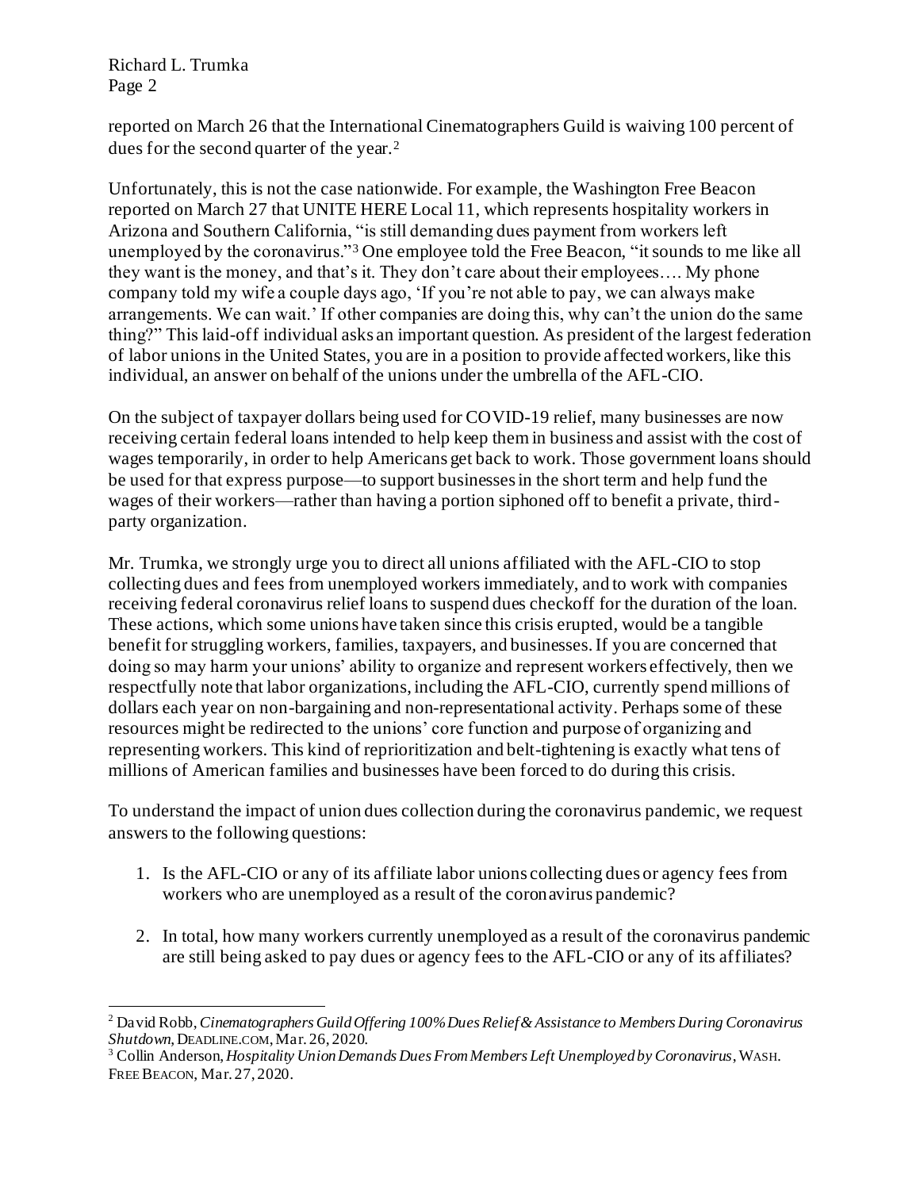Richard L. Trumka Page 2

reported on March 26 that the International Cinematographers Guild is waiving 100 percent of dues for the second quarter of the year.<sup>2</sup>

Unfortunately, this is not the case nationwide. For example, the Washington Free Beacon reported on March 27 that UNITE HERE Local 11, which represents hospitality workers in Arizona and Southern California, "is still demanding dues payment from workers left unemployed by the coronavirus."<sup>3</sup> One employee told the Free Beacon, "it sounds to me like all they want is the money, and that's it. They don't care about their employees…. My phone company told my wife a couple days ago, 'If you're not able to pay, we can always make arrangements. We can wait.' If other companies are doing this, why can't the union do the same thing?" This laid-off individual asks an important question. As president of the largest federation of labor unions in the United States, you are in a position to provide affected workers, like this individual, an answer on behalf of the unions under the umbrella of the AFL-CIO.

On the subject of taxpayer dollars being used for COVID-19 relief, many businesses are now receiving certain federal loans intended to help keep them in business and assist with the cost of wages temporarily, in order to help Americans get back to work. Those government loans should be used for that express purpose—to support businesses in the short term and help fund the wages of their workers—rather than having a portion siphoned off to benefit a private, thirdparty organization.

Mr. Trumka, we strongly urge you to direct all unions affiliated with the AFL-CIO to stop collecting dues and fees from unemployed workers immediately, and to work with companies receiving federal coronavirus relief loans to suspend dues checkoff for the duration of the loan. These actions, which some unions have taken since this crisis erupted, would be a tangible benefit for struggling workers, families, taxpayers, and businesses. If you are concerned that doing so may harm your unions' ability to organize and represent workers effectively, then we respectfully note that labor organizations, including the AFL-CIO, currently spend millions of dollars each year on non-bargaining and non-representational activity. Perhaps some of these resources might be redirected to the unions' core function and purpose of organizing and representing workers. This kind of reprioritization and belt-tightening is exactly what tens of millions of American families and businesses have been forced to do during this crisis.

- 1. Is the AFL-CIO or any of its affiliate labor unions collecting dues or agency fees from workers who are unemployed as a result of the coronavirus pandemic?
- 2. In total, how many workers currently unemployed as a result of the coronavirus pandemic are still being asked to pay dues or agency fees to the AFL-CIO or any of its affiliates?

<sup>2</sup> David Robb, *Cinematographers Guild Offering 100% Dues Relief & Assistance to Members During Coronavirus Shutdown*, DEADLINE.COM,Mar. 26, 2020.

<sup>3</sup> Collin Anderson, *Hospitality Union Demands Dues From Members Left Unemployed by Coronavirus*, WASH. FREE BEACON, Mar. 27, 2020.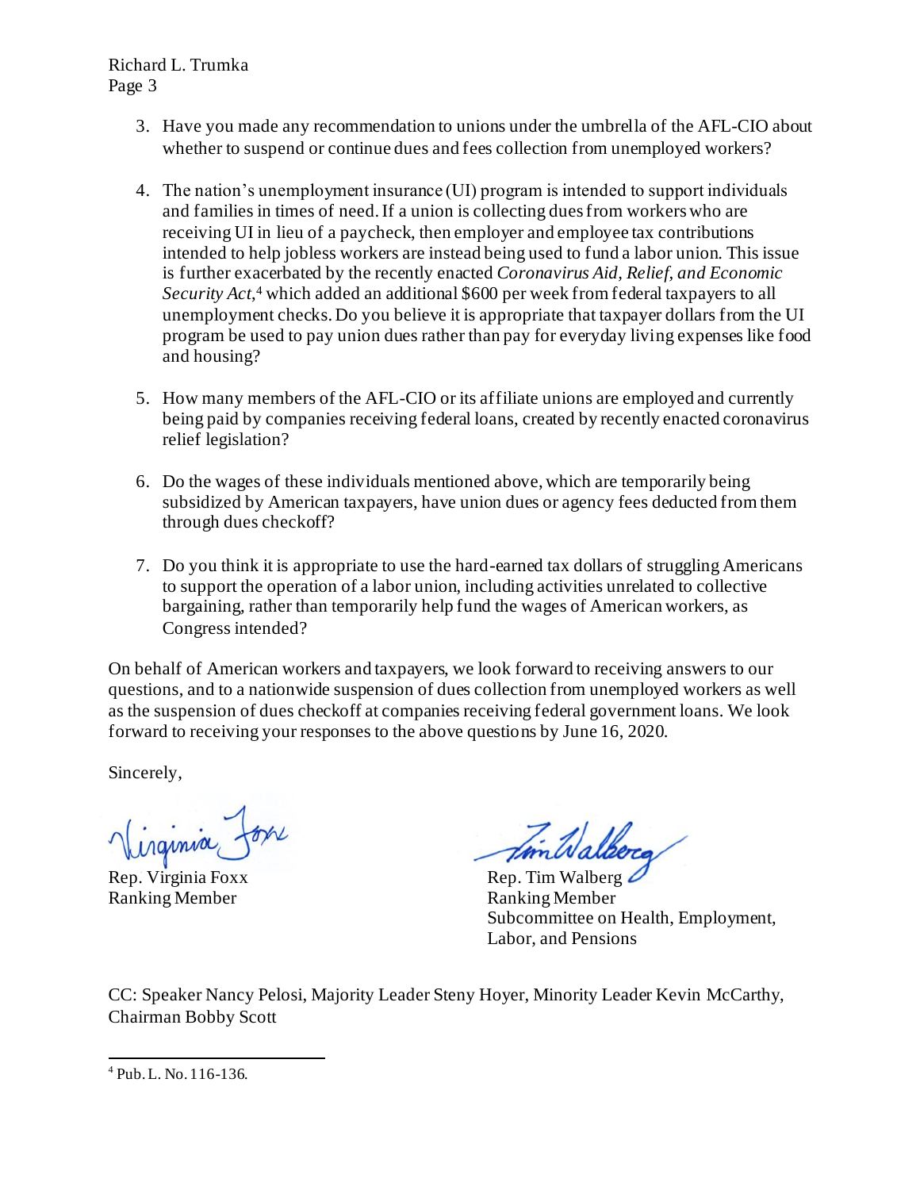Richard L. Trumka Page 3

- 3. Have you made any recommendation to unions under the umbrella of the AFL-CIO about whether to suspend or continue dues and fees collection from unemployed workers?
- 4. The nation's unemployment insurance (UI) program is intended to support individuals and families in times of need. If a union is collecting dues from workers who are receiving UI in lieu of a paycheck, then employer and employee tax contributions intended to help jobless workers are instead being used to fund a labor union. This issue is further exacerbated by the recently enacted *Coronavirus Aid, Relief, and Economic Security Act*, <sup>4</sup> which added an additional \$600 per week from federal taxpayers to all unemployment checks. Do you believe it is appropriate that taxpayer dollars from the UI program be used to pay union dues rather than pay for everyday living expenses like food and housing?
- 5. How many members of the AFL-CIO or its affiliate unions are employed and currently being paid by companies receiving federal loans, created by recently enacted coronavirus relief legislation?
- 6. Do the wages of these individuals mentioned above, which are temporarily being subsidized by American taxpayers, have union dues or agency fees deducted from them through dues checkoff?
- 7. Do you think it is appropriate to use the hard-earned tax dollars of struggling Americans to support the operation of a labor union, including activities unrelated to collective bargaining, rather than temporarily help fund the wages of American workers, as Congress intended?

On behalf of American workers and taxpayers, we look forward to receiving answers to our questions, and to a nationwide suspension of dues collection from unemployed workers as well as the suspension of dues checkoff at companies receiving federal government loans. We look forward to receiving your responses to the above questions by June 16, 2020.

Sincerely,

irginia

Ranking Member Ranking Member

Tim Walkera

Rep. Virginia Foxx Rep. Tim Walberg Subcommittee on Health, Employment, Labor, and Pensions

<sup>4</sup> Pub. L. No. 116-136.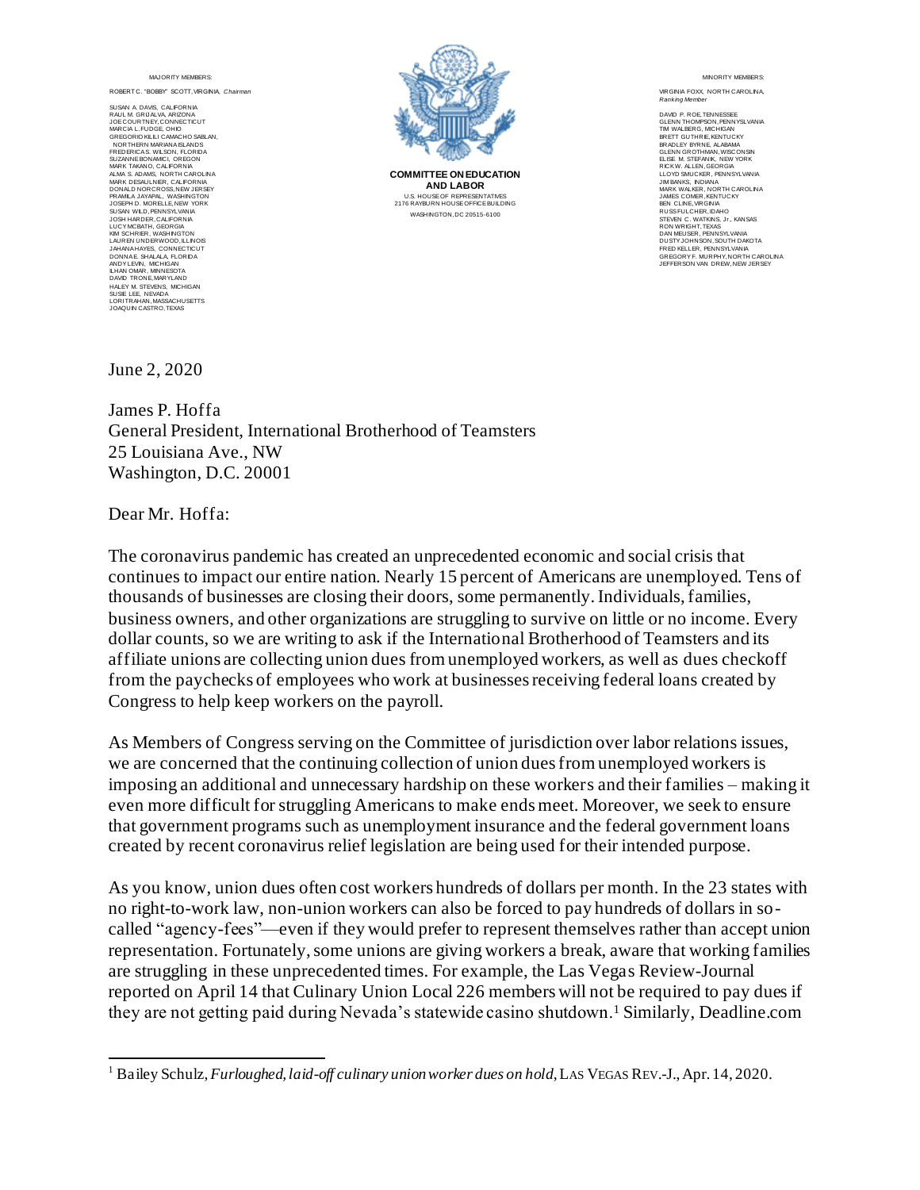ROBERT C. "BOBBY" SCOTT, VIRGINIA, *Chairman*

SUSAN A. DAVIS, CALIFORNIA RAUL M. GRIJALVA, ARIZONA JOE COURTNEY, CONNECTICUT MARCIA L. FUDGE, OHIO GREGORIO KILILI CAMACHO SABLAN, NORTHERN MARIANA ISLANDS FREDERICA S. WILSON, FLORIDA SUZANNE BONAMICI, OREGON MARK TAKANO, CALIFORNIA ALMA S. ADAMS, NORTH CAROLINA MARK DESAULNIER, CALIFORNIA DONALD NORCROSS, NEW JERSEY PRAMILA JAYAPAL, WASHINGTON JOSEPH D. MORELLE, NEW YORK<br>SUSAN WILD, PENNSYLVANIA<br>LUCY MCBATI, GEORGIA<br>LUCY MCBATI, GEORGIA<br>LUCY MCBATI, GEORGIA<br>LUCY MCBATI, GEORGIA<br>MANAHAYES, CONNECTICUT<br>JAHAN AHAYES, CONNECTICUT<br>LHAN OMAR, MNINESSOTA<br>MDYLEWN, MMCHI LORI TRAHAN, MASSACHUSETTS JOAQUIN CASTRO, TEXAS



**COMMITTEE ON EDUCATION AND LABOR** U.S. HOUSE OF REPRESENTATIVES 2176 RAYBURN HOUSE OFFICE BUILDING WASHINGTON, DC 20515-6100

MINOR ITY MEMBERS:

VIRGINIA FOXX, NORTH CAROLINA, **Ranking Member** 

DAVID P. ROE, TENNESSEE GLENN THOMPSON, PENNYSLVANIA TIM WALBERG, MICHIGAN BRETT GUTHRIE, KENTUCKY BRADLEY BYRNE, ALABAMA GLENN GROTHMAN, WISCONSIN ELISE M. STEFANIK, NEW YORK RICK W. ALLEN, GEORGIA LLOYD SMUCKER, PENNSYLVANIA JIM BANKS, INDIANA MARK WALKER, NORTH CAROLINA JAMES COMER, KENTUCKY BEN CLINE, VIRGINIA RUSS FULCHER, IDAHO STEVEN C. WATKINS, Jr., KANSAS RON WRIGHT, TEXAS DAN MEUSER, PENNSYLVANIA DUSTY JOHNSON, SOUTH DAKOTA<br>FRED KELLER, PENNSYLVANIA<br>GREGORY F. MURPHY, NORTH CAROLINA<br>JEFFERSON VAN DREW, NEW JERSEY

June 2, 2020

James P. Hoffa General President, International Brotherhood of Teamsters 25 Louisiana Ave., NW Washington, D.C. 20001

Dear Mr. Hoffa:

The coronavirus pandemic has created an unprecedented economic and social crisis that continues to impact our entire nation. Nearly 15 percent of Americans are unemployed. Tens of thousands of businesses are closing their doors, some permanently. Individuals, families, business owners, and other organizations are struggling to survive on little or no income. Every dollar counts, so we are writing to ask if the International Brotherhood of Teamsters and its affiliate unions are collecting union dues from unemployed workers, as well as dues checkoff from the paychecks of employees who work at businesses receiving federal loans created by Congress to help keep workers on the payroll.

As Members of Congress serving on the Committee of jurisdiction over labor relations issues, we are concerned that the continuing collection of union dues from unemployed workers is imposing an additional and unnecessary hardship on these workers and their families – making it even more difficult for struggling Americans to make ends meet. Moreover, we seek to ensure that government programs such as unemployment insurance and the federal government loans created by recent coronavirus relief legislation are being used for their intended purpose.

<sup>&</sup>lt;sup>1</sup> Bailey Schulz, *Furloughed, laid-off culinary union worker dues on hold*, LAS VEGAS REV.-J., Apr. 14, 2020.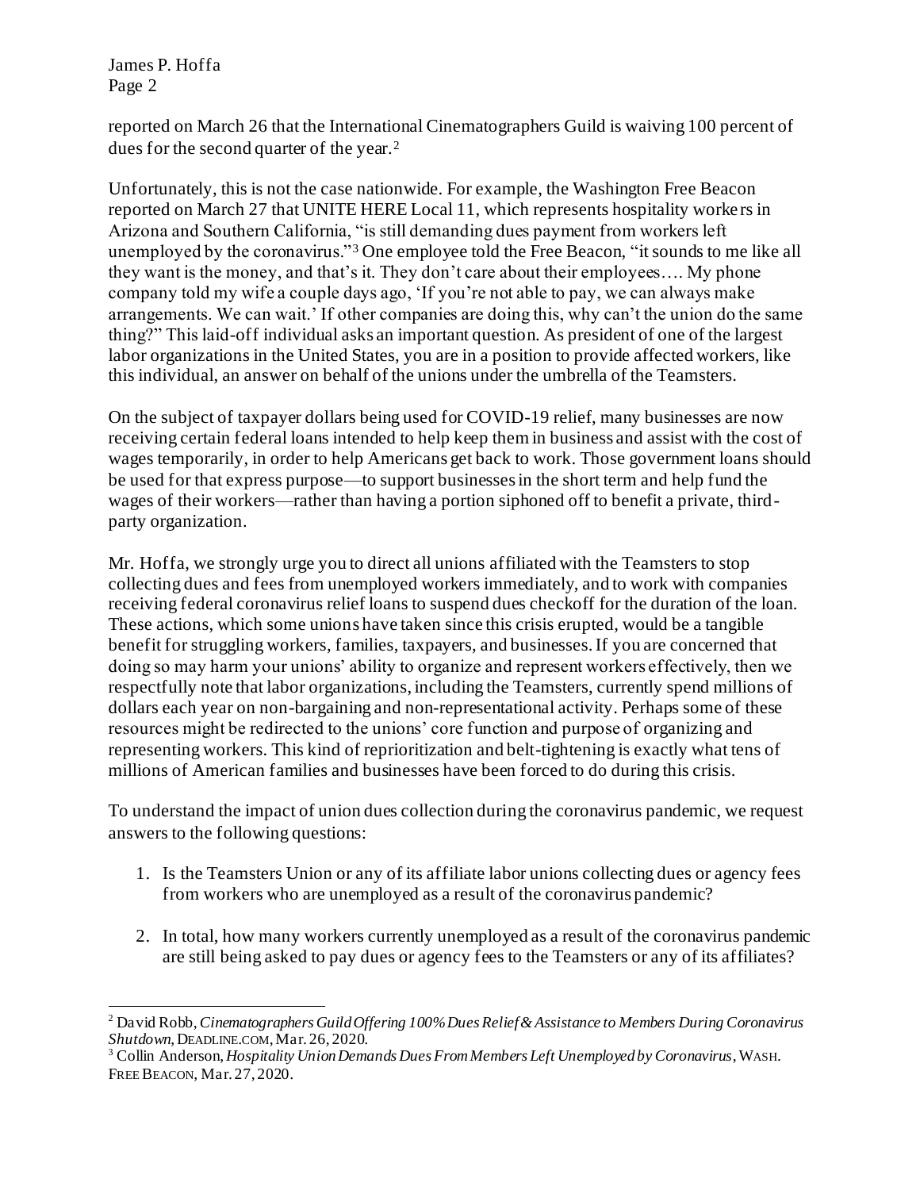James P. Hoffa Page 2

reported on March 26 that the International Cinematographers Guild is waiving 100 percent of dues for the second quarter of the year.<sup>2</sup>

Unfortunately, this is not the case nationwide. For example, the Washington Free Beacon reported on March 27 that UNITE HERE Local 11, which represents hospitality workers in Arizona and Southern California, "is still demanding dues payment from workers left unemployed by the coronavirus."<sup>3</sup> One employee told the Free Beacon, "it sounds to me like all they want is the money, and that's it. They don't care about their employees…. My phone company told my wife a couple days ago, 'If you're not able to pay, we can always make arrangements. We can wait.' If other companies are doing this, why can't the union do the same thing?" This laid-off individual asks an important question. As president of one of the largest labor organizations in the United States, you are in a position to provide affected workers, like this individual, an answer on behalf of the unions under the umbrella of the Teamsters.

On the subject of taxpayer dollars being used for COVID-19 relief, many businesses are now receiving certain federal loans intended to help keep them in business and assist with the cost of wages temporarily, in order to help Americans get back to work. Those government loans should be used for that express purpose—to support businesses in the short term and help fund the wages of their workers—rather than having a portion siphoned off to benefit a private, thirdparty organization.

Mr. Hoffa, we strongly urge you to direct all unions affiliated with the Teamsters to stop collecting dues and fees from unemployed workers immediately, and to work with companies receiving federal coronavirus relief loans to suspend dues checkoff for the duration of the loan. These actions, which some unions have taken since this crisis erupted, would be a tangible benefit for struggling workers, families, taxpayers, and businesses. If you are concerned that doing so may harm your unions' ability to organize and represent workers effectively, then we respectfully note that labor organizations, including the Teamsters, currently spend millions of dollars each year on non-bargaining and non-representational activity. Perhaps some of these resources might be redirected to the unions' core function and purpose of organizing and representing workers. This kind of reprioritization and belt-tightening is exactly what tens of millions of American families and businesses have been forced to do during this crisis.

- 1. Is the Teamsters Union or any of its affiliate labor unions collecting dues or agency fees from workers who are unemployed as a result of the coronavirus pandemic?
- 2. In total, how many workers currently unemployed as a result of the coronavirus pandemic are still being asked to pay dues or agency fees to the Teamsters or any of its affiliates?

<sup>2</sup> David Robb, *Cinematographers Guild Offering 100% Dues Relief & Assistance to Members During Coronavirus Shutdown*, DEADLINE.COM,Mar. 26, 2020.

<sup>3</sup> Collin Anderson, *Hospitality Union Demands Dues From Members Left Unemployed by Coronavirus*, WASH. FREE BEACON, Mar. 27, 2020.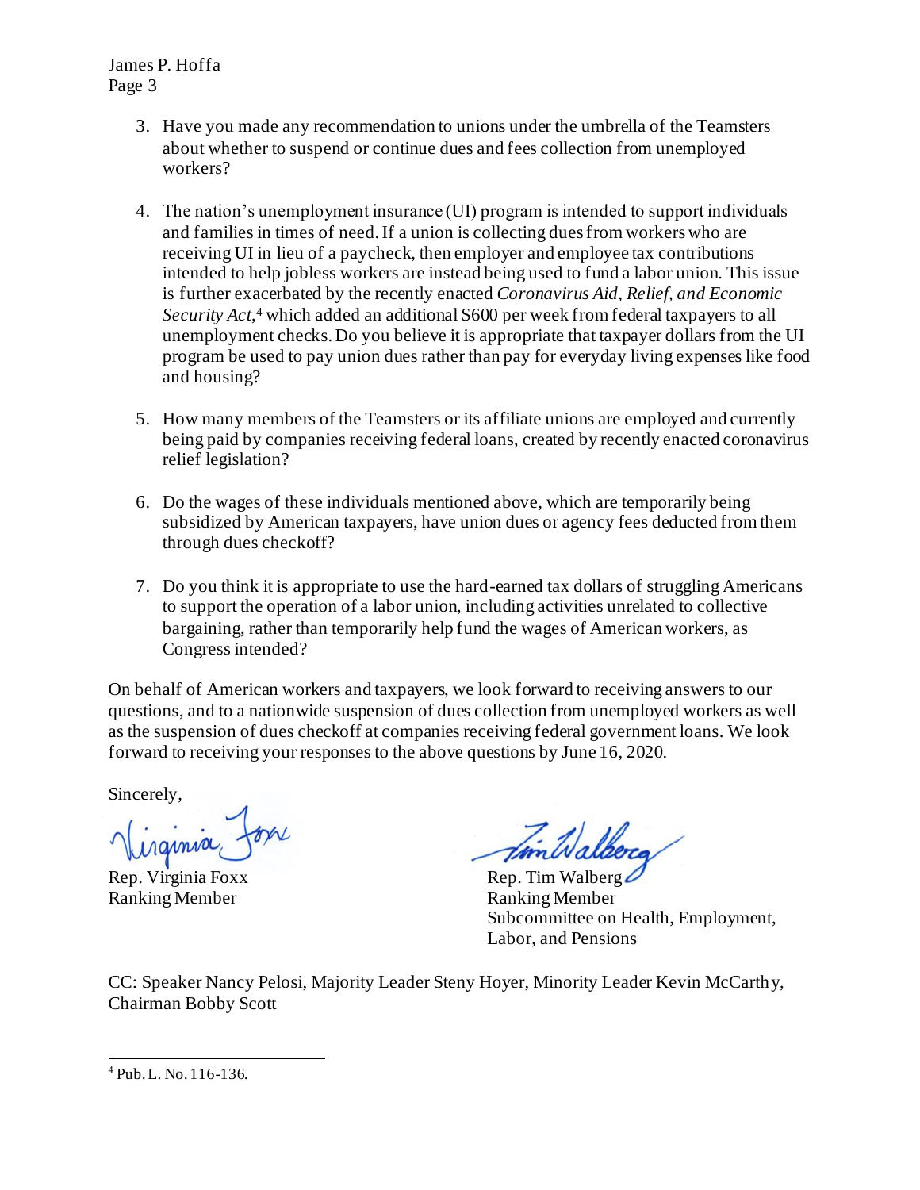James P. Hoffa Page 3

- 3. Have you made any recommendation to unions under the umbrella of the Teamsters about whether to suspend or continue dues and fees collection from unemployed workers?
- 4. The nation's unemployment insurance (UI) program is intended to support individuals and families in times of need. If a union is collecting dues from workers who are receiving UI in lieu of a paycheck, then employer and employee tax contributions intended to help jobless workers are instead being used to fund a labor union. This issue is further exacerbated by the recently enacted *Coronavirus Aid, Relief, and Economic Security Act*, <sup>4</sup> which added an additional \$600 per week from federal taxpayers to all unemployment checks. Do you believe it is appropriate that taxpayer dollars from the UI program be used to pay union dues rather than pay for everyday living expenses like food and housing?
- 5. How many members of the Teamsters or its affiliate unions are employed and currently being paid by companies receiving federal loans, created by recently enacted coronavirus relief legislation?
- 6. Do the wages of these individuals mentioned above, which are temporarily being subsidized by American taxpayers, have union dues or agency fees deducted from them through dues checkoff?
- 7. Do you think it is appropriate to use the hard-earned tax dollars of struggling Americans to support the operation of a labor union, including activities unrelated to collective bargaining, rather than temporarily help fund the wages of American workers, as Congress intended?

On behalf of American workers and taxpayers, we look forward to receiving answers to our questions, and to a nationwide suspension of dues collection from unemployed workers as well as the suspension of dues checkoff at companies receiving federal government loans. We look forward to receiving your responses to the above questions by June 16, 2020.

Sincerely,

rginia Jone

Ranking Member Ranking Member

fim Walberg

Rep. Virginia Foxx Rep. Tim Walberg Subcommittee on Health, Employment, Labor, and Pensions

<sup>4</sup> Pub. L. No. 116-136.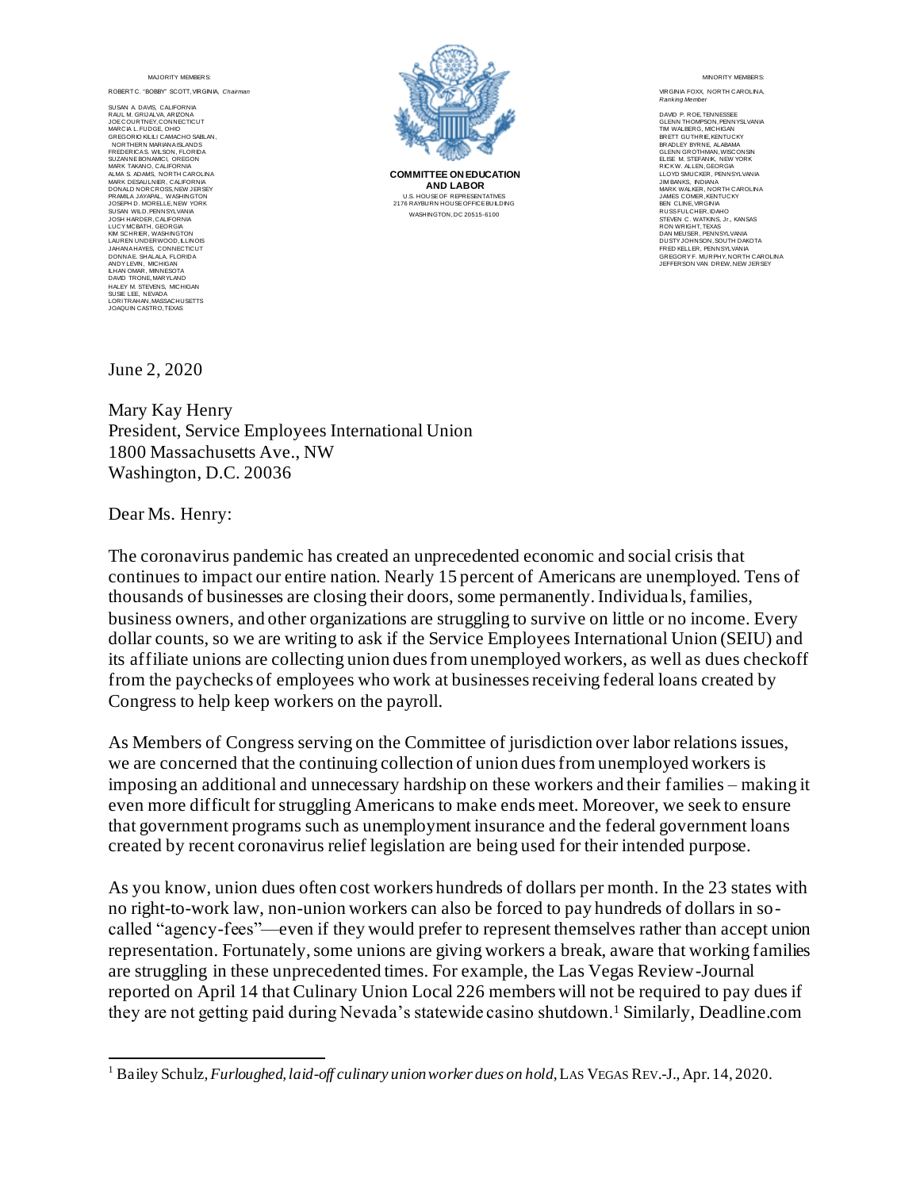ROBERT C. "BOBBY" SCOTT, VIRGINIA, *Chairman*

SUSAN A. DAVIS, CALIFORNIA RAUL M. GRIJALVA, ARIZONA JOE COURTNEY, CONNECTICUT MARCIA L. FUDGE, OHIO GREGORIO KILILI CAMACHO SABLAN, NORTHERN MARIANA ISLANDS FREDERICA S. WILSON, FLORIDA SUZANNE BONAMICI, OREGON MARK TAKANO, CALIFORNIA ALMA S. ADAMS, NORTH CAROLINA MARK DESAULNIER, CALIFORNIA DONALD NORCROSS, NEW JERSEY PRAMILA JAYAPAL, WASHINGTON JOSEPH D. MORELLE, NEW YORK SUSAN WILD, PENNSYLVANIA<br>JOSH HARDER, CALIFORNA<br>LUCY MCBATH, GEORGIA<br>KIM SCHRIER, WASHINGTON<br>LAUREN UNDERWOOD, ILLINOIS JAHANA HAYES, CONNECTICUT DONNA E. SHALALA, FLORIDA ANDY LEVIN, MICHIGAN ILHAN OMAR, MINNESOTA DAVID TRONE, MARYLAND HALEY M. STEVENS, MICHIGAN SUSIE LEE, NEVADA LORI TRAHAN, MASSACHUSETTS JOAQUIN CASTRO, TEXAS



**COMMITTEE ON EDUCATION AND LABOR** U.S. HOUSE OF REPRESENTATIVES 2176 RAYBURN HOUSE OFFICE BUILDING WASHINGTON, DC 20515-6100

MINOR ITY MEMBERS:

VIRGINIA FOXX, NORTH CAROLINA, **Ranking Member** 

DAVID P. ROE, TENNESSEE GLENN THOMPSON, PENNYSLVANIA TIM WALBERG, MICHIGAN BRETT GUTHRIE, KENTUCKY BRADLEY BYRNE, ALABAMA GLENN GROTHMAN, WISCONSIN ELISE M. STEFANIK, NEW YORK RICK W. ALLEN, GEORGIA LLOYD SMUCKER, PENNSYLVANIA JIM BANKS, INDIANA MARK WALKER, NORTH CAROLINA JAMES COMER, KENTUCKY BEN CLINE, VIRGINIA RUSS FULCHER, IDAHO STEVEN C. WATKINS, Jr., KANSAS RON WRIGHT, TEXAS DAN MEUSER, PENNSYLVANIA DUSTY JOHNSON, SOUTH DAKOTA<br>FRED KELLER, PENNSYLVANIA<br>GREGORY F. MURPHY, NORTH CAROLINA<br>JEFFERSON VAN DREW, NEW JERSEY

June 2, 2020

Mary Kay Henry President, Service Employees International Union 1800 Massachusetts Ave., NW Washington, D.C. 20036

Dear Ms. Henry:

The coronavirus pandemic has created an unprecedented economic and social crisis that continues to impact our entire nation. Nearly 15 percent of Americans are unemployed. Tens of thousands of businesses are closing their doors, some permanently. Individuals, families, business owners, and other organizations are struggling to survive on little or no income. Every dollar counts, so we are writing to ask if the Service Employees International Union (SEIU) and its affiliate unions are collecting union dues from unemployed workers, as well as dues checkoff from the paychecks of employees who work at businesses receiving federal loans created by Congress to help keep workers on the payroll.

As Members of Congress serving on the Committee of jurisdiction over labor relations issues, we are concerned that the continuing collection of union dues from unemployed workers is imposing an additional and unnecessary hardship on these workers and their families – making it even more difficult for struggling Americans to make ends meet. Moreover, we seek to ensure that government programs such as unemployment insurance and the federal government loans created by recent coronavirus relief legislation are being used for their intended purpose.

<sup>&</sup>lt;sup>1</sup> Bailey Schulz, *Furloughed, laid-off culinary union worker dues on hold*, LAS VEGAS REV.-J., Apr. 14, 2020.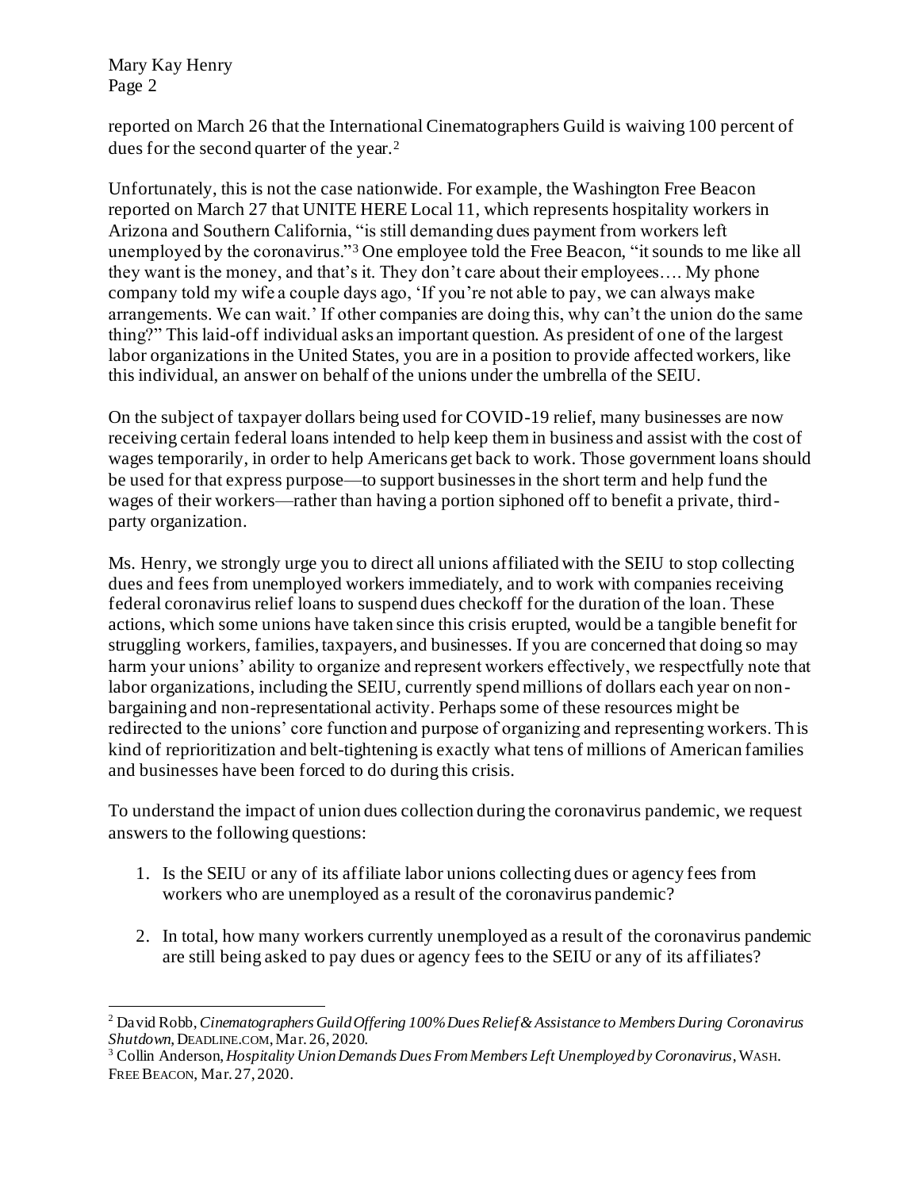Mary Kay Henry Page 2

reported on March 26 that the International Cinematographers Guild is waiving 100 percent of dues for the second quarter of the year.<sup>2</sup>

Unfortunately, this is not the case nationwide. For example, the Washington Free Beacon reported on March 27 that UNITE HERE Local 11, which represents hospitality workers in Arizona and Southern California, "is still demanding dues payment from workers left unemployed by the coronavirus."<sup>3</sup> One employee told the Free Beacon, "it sounds to me like all they want is the money, and that's it. They don't care about their employees…. My phone company told my wife a couple days ago, 'If you're not able to pay, we can always make arrangements. We can wait.' If other companies are doing this, why can't the union do the same thing?" This laid-off individual asks an important question. As president of one of the largest labor organizations in the United States, you are in a position to provide affected workers, like this individual, an answer on behalf of the unions under the umbrella of the SEIU.

On the subject of taxpayer dollars being used for COVID-19 relief, many businesses are now receiving certain federal loans intended to help keep them in business and assist with the cost of wages temporarily, in order to help Americans get back to work. Those government loans should be used for that express purpose—to support businesses in the short term and help fund the wages of their workers—rather than having a portion siphoned off to benefit a private, thirdparty organization.

Ms. Henry, we strongly urge you to direct all unions affiliated with the SEIU to stop collecting dues and fees from unemployed workers immediately, and to work with companies receiving federal coronavirus relief loans to suspend dues checkoff for the duration of the loan. These actions, which some unions have taken since this crisis erupted, would be a tangible benefit for struggling workers, families, taxpayers, and businesses. If you are concerned that doing so may harm your unions' ability to organize and represent workers effectively, we respectfully note that labor organizations, including the SEIU, currently spend millions of dollars each year on nonbargaining and non-representational activity. Perhaps some of these resources might be redirected to the unions' core function and purpose of organizing and representing workers. Th is kind of reprioritization and belt-tightening is exactly what tens of millions of American families and businesses have been forced to do during this crisis.

- 1. Is the SEIU or any of its affiliate labor unions collecting dues or agency fees from workers who are unemployed as a result of the coronavirus pandemic?
- 2. In total, how many workers currently unemployed as a result of the coronavirus pandemic are still being asked to pay dues or agency fees to the SEIU or any of its affiliates?

<sup>2</sup> David Robb, *Cinematographers Guild Offering 100% Dues Relief & Assistance to Members During Coronavirus Shutdown*, DEADLINE.COM,Mar. 26, 2020.

<sup>3</sup> Collin Anderson, *Hospitality Union Demands Dues From Members Left Unemployed by Coronavirus*, WASH. FREE BEACON, Mar. 27, 2020.